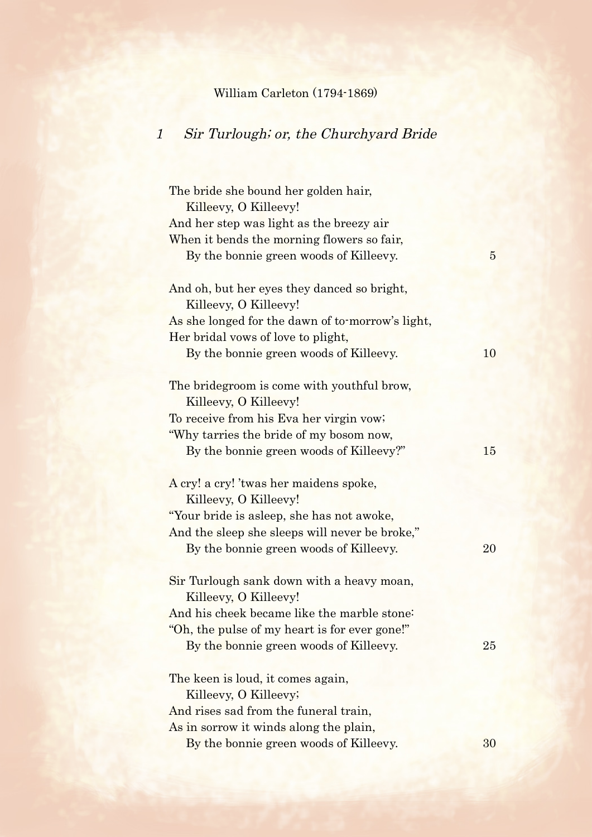## William Carleton (1794-1869)

## 1 Sir Turlough; or, the Churchyard Bride

| The bride she bound her golden hair,<br>Killeevy, O Killeevy!  |                |
|----------------------------------------------------------------|----------------|
| And her step was light as the breezy air                       |                |
| When it bends the morning flowers so fair,                     |                |
| By the bonnie green woods of Killeevy.                         | $\overline{5}$ |
|                                                                |                |
| And oh, but her eyes they danced so bright,                    |                |
| Killeevy, O Killeevy!                                          |                |
| As she longed for the dawn of to-morrow's light,               |                |
| Her bridal vows of love to plight,                             |                |
| By the bonnie green woods of Killeevy.                         | 10             |
|                                                                |                |
| The bridegroom is come with youthful brow,                     |                |
| Killeevy, O Killeevy!                                          |                |
| To receive from his Eva her virgin vow;                        |                |
| "Why tarries the bride of my bosom now,                        |                |
| By the bonnie green woods of Killeevy?"                        | 15             |
|                                                                |                |
| A cry! a cry! 'twas her maidens spoke,                         |                |
| Killeevy, O Killeevy!                                          |                |
| "Your bride is asleep, she has not awoke,                      |                |
| And the sleep she sleeps will never be broke,"                 |                |
| By the bonnie green woods of Killeevy.                         | 20             |
|                                                                |                |
| Sir Turlough sank down with a heavy moan,                      |                |
| Killeevy, O Killeevy!                                          |                |
| And his cheek became like the marble stone:                    |                |
| Oh, the pulse of my heart is for ever gone!"                   |                |
| By the bonnie green woods of Killeevy.                         | 25             |
|                                                                |                |
| The keen is loud, it comes again,                              |                |
| Killeevy, O Killeevy;<br>And rises sad from the funeral train, |                |
|                                                                |                |
| As in sorrow it winds along the plain,                         | 30             |
| By the bonnie green woods of Killeevy.                         |                |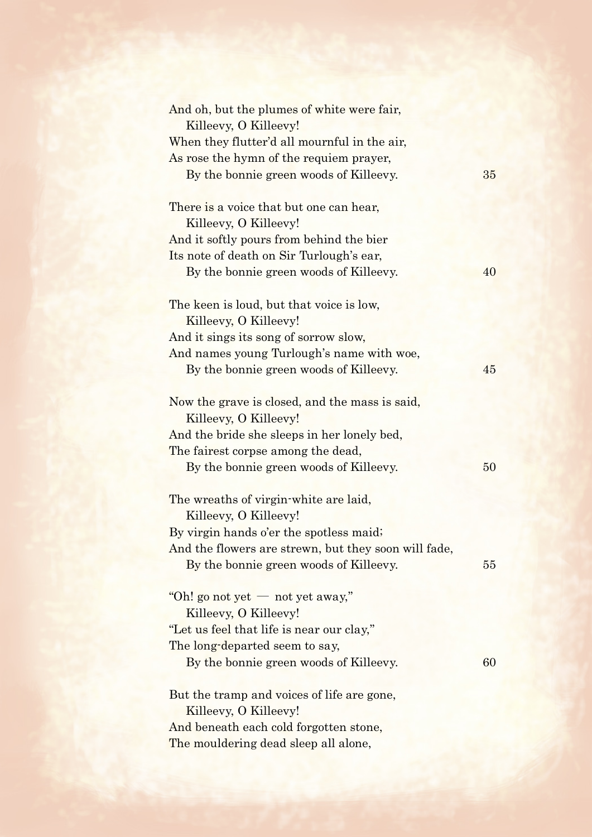| And oh, but the plumes of white were fair,<br>Killeevy, O Killeevy! |    |
|---------------------------------------------------------------------|----|
| When they flutter'd all mournful in the air,                        |    |
| As rose the hymn of the requiem prayer,                             |    |
| By the bonnie green woods of Killeevy.                              | 35 |
|                                                                     |    |
| There is a voice that but one can hear,<br>Killeevy, O Killeevy!    |    |
| And it softly pours from behind the bier                            |    |
| Its note of death on Sir Turlough's ear,                            |    |
| By the bonnie green woods of Killeevy.                              | 40 |
|                                                                     |    |
| The keen is loud, but that voice is low,                            |    |
| Killeevy, O Killeevy!                                               |    |
| And it sings its song of sorrow slow,                               |    |
| And names young Turlough's name with woe,                           |    |
| By the bonnie green woods of Killeevy.                              | 45 |
|                                                                     |    |
| Now the grave is closed, and the mass is said,                      |    |
| Killeevy, O Killeevy!                                               |    |
| And the bride she sleeps in her lonely bed,                         |    |
| The fairest corpse among the dead,                                  |    |
| By the bonnie green woods of Killeevy.                              | 50 |
|                                                                     |    |
| The wreaths of virgin-white are laid,                               |    |
| Killeevy, O Killeevy!                                               |    |
| By virgin hands o'er the spotless maid;                             |    |
| And the flowers are strewn, but they soon will fade,                |    |
| By the bonnie green woods of Killeevy.                              | 55 |
|                                                                     |    |
| "Oh! go not yet — not yet away,"                                    |    |
| Killeevy, O Killeevy!                                               |    |
| "Let us feel that life is near our clay,"                           |    |
| The long-departed seem to say,                                      |    |
| By the bonnie green woods of Killeevy.                              | 60 |
|                                                                     |    |
| But the tramp and voices of life are gone,                          |    |
| Killeevy, O Killeevy!                                               |    |
| And beneath each cold forgotten stone,                              |    |
| The mouldering dead sleep all alone,                                |    |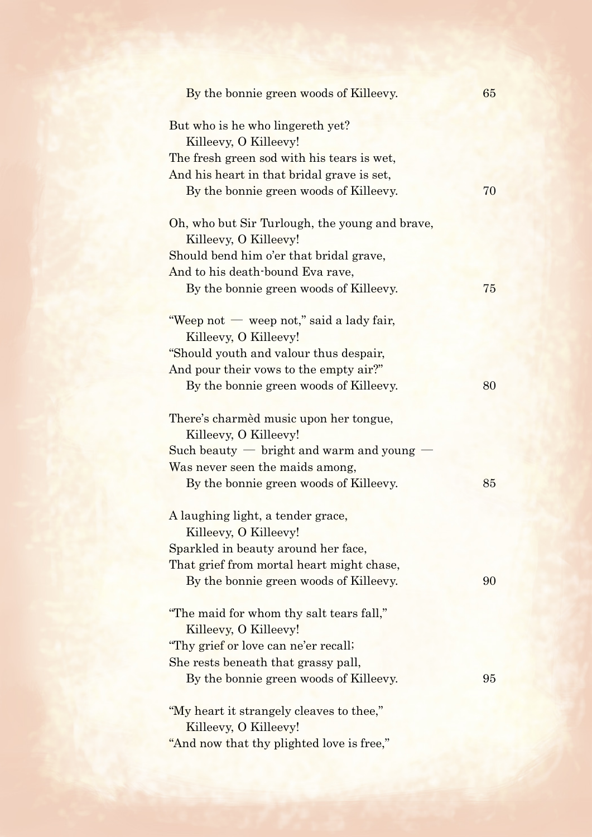| By the bonnie green woods of Killeevy.         | 65 |
|------------------------------------------------|----|
| But who is he who lingereth yet?               |    |
| Killeevy, O Killeevy!                          |    |
| The fresh green sod with his tears is wet,     |    |
| And his heart in that bridal grave is set,     |    |
| By the bonnie green woods of Killeevy.         | 70 |
|                                                |    |
| Oh, who but Sir Turlough, the young and brave, |    |
| Killeevy, O Killeevy!                          |    |
| Should bend him o'er that bridal grave,        |    |
| And to his death-bound Eva rave,               |    |
| By the bonnie green woods of Killeevy.         | 75 |
| "Weep not — weep not," said a lady fair,       |    |
| Killeevy, O Killeevy!                          |    |
| "Should youth and valour thus despair,         |    |
| And pour their vows to the empty air?"         |    |
| By the bonnie green woods of Killeevy.         | 80 |
|                                                |    |
| There's charmed music upon her tongue,         |    |
| Killeevy, O Killeevy!                          |    |
| Such beauty $-$ bright and warm and young      |    |
| Was never seen the maids among,                |    |
| By the bonnie green woods of Killeevy.         | 85 |
|                                                |    |
| A laughing light, a tender grace,              |    |
| Killeevy, O Killeevy!                          |    |
| Sparkled in beauty around her face,            |    |
| That grief from mortal heart might chase,      |    |
| By the bonnie green woods of Killeevy.         | 90 |
| "The maid for whom thy salt tears fall,"       |    |
| Killeevy, O Killeevy!                          |    |
| "Thy grief or love can ne'er recall;           |    |
| She rests beneath that grassy pall,            |    |
|                                                | 95 |
| By the bonnie green woods of Killeevy.         |    |
| "My heart it strangely cleaves to thee,"       |    |
| Killeevy, O Killeevy!                          |    |
| "And now that thy plighted love is free,"      |    |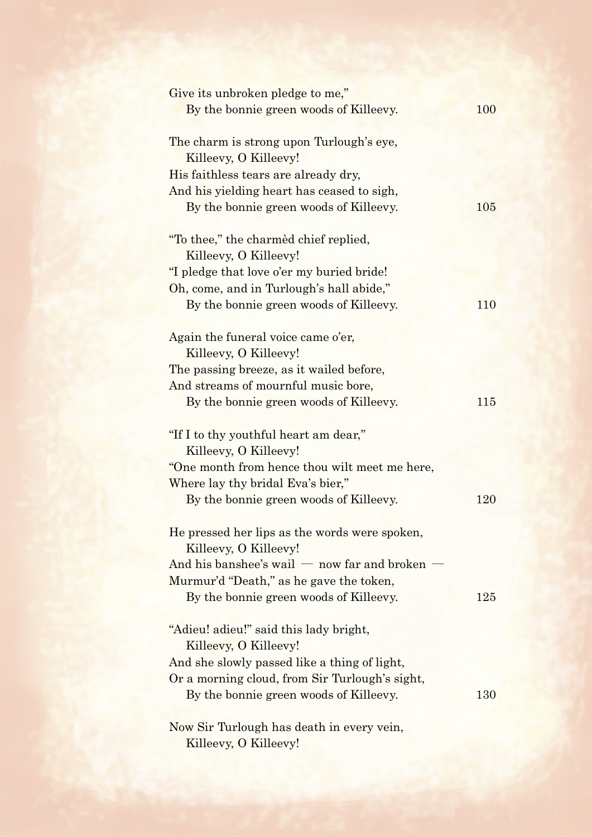| Give its unbroken pledge to me,"               |     |
|------------------------------------------------|-----|
| By the bonnie green woods of Killeevy.         | 100 |
| The charm is strong upon Turlough's eye,       |     |
| Killeevy, O Killeevy!                          |     |
| His faithless tears are already dry,           |     |
| And his yielding heart has ceased to sigh,     |     |
| By the bonnie green woods of Killeevy.         | 105 |
| "To thee," the charmed chief replied,          |     |
| Killeevy, O Killeevy!                          |     |
| "I pledge that love o'er my buried bride!"     |     |
| Oh, come, and in Turlough's hall abide,"       |     |
| By the bonnie green woods of Killeevy.         | 110 |
| Again the funeral voice came o'er,             |     |
| Killeevy, O Killeevy!                          |     |
| The passing breeze, as it wailed before,       |     |
| And streams of mournful music bore,            |     |
| By the bonnie green woods of Killeevy.         | 115 |
| "If I to thy youthful heart am dear,"          |     |
| Killeevy, O Killeevy!                          |     |
| "One month from hence thou wilt meet me here,  |     |
| Where lay thy bridal Eva's bier,"              |     |
| By the bonnie green woods of Killeevy.         | 120 |
| He pressed her lips as the words were spoken,  |     |
| Killeevy, O Killeevy!                          |     |
| And his banshee's wail $-$ now far and broken  |     |
| Murmur'd "Death," as he gave the token,        |     |
| By the bonnie green woods of Killeevy.         | 125 |
| "Adieu! adieu!" said this lady bright,         |     |
| Killeevy, O Killeevy!                          |     |
| And she slowly passed like a thing of light,   |     |
| Or a morning cloud, from Sir Turlough's sight, |     |
| By the bonnie green woods of Killeevy.         | 130 |
| Now Sir Turlough has death in every vein,      |     |
|                                                |     |

Killeevy, O Killeevy!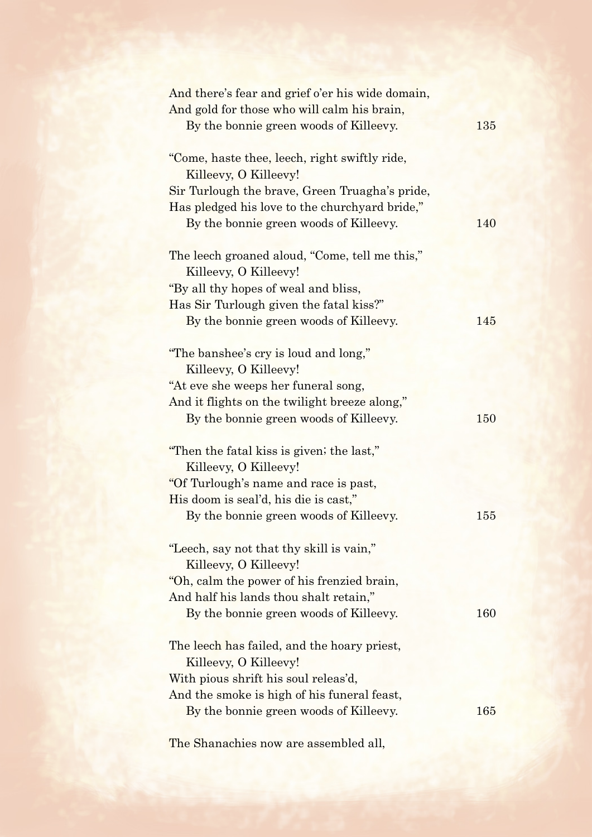| And there's fear and grief o'er his wide domain, |     |
|--------------------------------------------------|-----|
| And gold for those who will calm his brain,      |     |
| By the bonnie green woods of Killeevy.           | 135 |
| "Come, haste thee, leech, right swiftly ride,    |     |
| Killeevy, O Killeevy!                            |     |
| Sir Turlough the brave, Green Truagha's pride,   |     |
| Has pledged his love to the churchyard bride,"   |     |
| By the bonnie green woods of Killeevy.           | 140 |
| The leech groaned aloud, "Come, tell me this,"   |     |
| Killeevy, O Killeevy!                            |     |
| "By all thy hopes of weal and bliss,             |     |
| Has Sir Turlough given the fatal kiss?"          |     |
| By the bonnie green woods of Killeevy.           | 145 |
| "The banshee's cry is loud and long,"            |     |
| Killeevy, O Killeevy!                            |     |
| "At eve she weeps her funeral song,              |     |
| And it flights on the twilight breeze along,"    |     |
| By the bonnie green woods of Killeevy.           | 150 |
| "Then the fatal kiss is given; the last,"        |     |
| Killeevy, O Killeevy!                            |     |
| "Of Turlough's name and race is past,            |     |
| His doom is seal'd, his die is cast,"            |     |
| By the bonnie green woods of Killeevy.           | 155 |
| "Leech, say not that thy skill is vain,"         |     |
| Killeevy, O Killeevy!                            |     |
| "Oh, calm the power of his frenzied brain,       |     |
| And half his lands thou shalt retain,"           |     |
| By the bonnie green woods of Killeevy.           | 160 |
| The leech has failed, and the hoary priest,      |     |
| Killeevy, O Killeevy!                            |     |
| With pious shrift his soul releas'd,             |     |
| And the smoke is high of his funeral feast,      |     |
| By the bonnie green woods of Killeevy.           | 165 |
|                                                  |     |

The Shanachies now are assembled all,